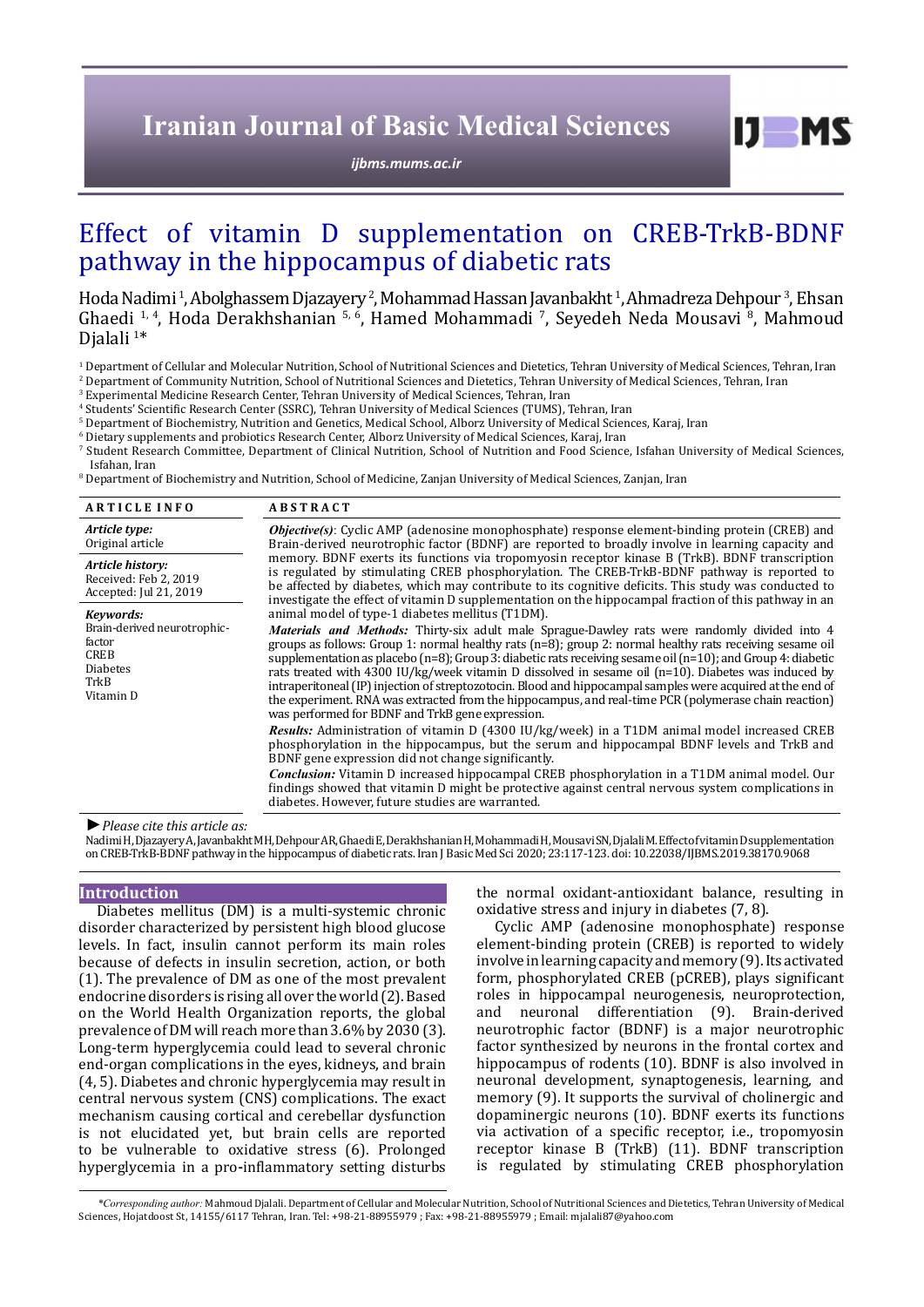# **Iranian Journal of Basic Medical Sciences**

*[ijbms.mums.ac.ir](http://ijbms.mums.ac.ir)*

# Effect of vitamin D supplementation on CREB-TrkB-BDNF pathway in the hippocampus of diabetic rats

Hoda Nadimi <sup>1</sup>, Abolghassem Djazayery <sup>2</sup>, Mohammad Hassan Javanbakht <sup>1</sup>, Ahmadreza Dehpour <sup>3</sup>, Ehsan Ghaedi <sup>1, 4</sup>, Hoda Derakhshanian <sup>5, 6</sup>, Hamed Mohammadi <sup>7</sup>, Seyedeh Neda Mousavi <sup>8</sup>, Mahmoud Djalali<sup>1\*</sup>

1 Department of Cellular and Molecular Nutrition, School of Nutritional Sciences and Dietetics, Tehran University of Medical Sciences, Tehran, Iran 2 Department of Community Nutrition, School of Nutritional Sciences and Dietetics, Tehran University of Medical Sciences, Tehran, Iran

3 Experimental Medicine Research Center, Tehran University of Medical Sciences, Tehran, Iran

4 Students' Scientific Research Center (SSRC), Tehran University of Medical Sciences (TUMS), Tehran, Iran

5 Department of Biochemistry, Nutrition and Genetics, Medical School, Alborz University of Medical Sciences, Karaj, Iran

 $^{\circ}$  Dietary supplements and probiotics Research Center, Alborz University of Medical Sciences, Karaj, Iran

7 Student Research Committee, Department of Clinical Nutrition, School of Nutrition and Food Science, Isfahan University of Medical Sciences, Isfahan, Iran

 $^8$  Department of Biochemistry and Nutrition, School of Medicine, Zanjan University of Medical Sciences, Zanjan, Iran $\,$ 

| <b>ARTICLE INFO</b>                                                                                       | <b>ABSTRACT</b>                                                                                                                                                                                                                                                                                                                                                                                                                                                                                                                                                                                                                                                                                                                                                                                                                                                                                                                                                                                                                                                                                                                                                                                                                                                                                        |  |  |  |  |  |
|-----------------------------------------------------------------------------------------------------------|--------------------------------------------------------------------------------------------------------------------------------------------------------------------------------------------------------------------------------------------------------------------------------------------------------------------------------------------------------------------------------------------------------------------------------------------------------------------------------------------------------------------------------------------------------------------------------------------------------------------------------------------------------------------------------------------------------------------------------------------------------------------------------------------------------------------------------------------------------------------------------------------------------------------------------------------------------------------------------------------------------------------------------------------------------------------------------------------------------------------------------------------------------------------------------------------------------------------------------------------------------------------------------------------------------|--|--|--|--|--|
| Article type:<br>Original article                                                                         | <b><i>Objective(s)</i></b> : Cyclic AMP (adenosine monophosphate) response element-binding protein (CREB) and<br>Brain-derived neurotrophic factor (BDNF) are reported to broadly involve in learning capacity and                                                                                                                                                                                                                                                                                                                                                                                                                                                                                                                                                                                                                                                                                                                                                                                                                                                                                                                                                                                                                                                                                     |  |  |  |  |  |
| Article history:<br>Received: Feb 2, 2019<br>Accepted: Jul 21, 2019                                       | memory. BDNF exerts its functions via tropomyosin receptor kinase B (TrkB). BDNF transcription<br>is regulated by stimulating CREB phosphorylation. The CREB-TrkB-BDNF pathway is reported to<br>be affected by diabetes, which may contribute to its cognitive deficits. This study was conducted to<br>investigate the effect of vitamin D supplementation on the hippocampal fraction of this pathway in an                                                                                                                                                                                                                                                                                                                                                                                                                                                                                                                                                                                                                                                                                                                                                                                                                                                                                         |  |  |  |  |  |
| Keywords:<br>Brain-derived neurotrophic-<br>factor<br><b>CREB</b><br><b>Diabetes</b><br>TrkB<br>Vitamin D | animal model of type-1 diabetes mellitus (T1DM).<br>Materials and Methods: Thirty-six adult male Sprague-Dawley rats were randomly divided into 4<br>groups as follows: Group 1: normal healthy rats $(n=8)$ ; group 2: normal healthy rats receiving sesame oil<br>supplementation as placebo ( $n=8$ ); Group 3: diabetic rats receiving sesame oil ( $n=10$ ); and Group 4: diabetic<br>rats treated with 4300 IU/kg/week vitamin D dissolved in sesame oil (n=10). Diabetes was induced by<br>intraperitoneal (IP) injection of streptozotocin. Blood and hippocampal samples were acquired at the end of<br>the experiment. RNA was extracted from the hippocampus, and real-time PCR (polymerase chain reaction)<br>was performed for BDNF and TrkB gene expression.<br><i>Results:</i> Administration of vitamin D (4300 IU/kg/week) in a T1DM animal model increased CREB<br>phosphorylation in the hippocampus, but the serum and hippocampal BDNF levels and TrkB and<br>BDNF gene expression did not change significantly.<br><b>Conclusion:</b> Vitamin D increased hippocampal CREB phosphorylation in a T1DM animal model. Our<br>findings showed that vitamin D might be protective against central nervous system complications in<br>diabetes. However, future studies are warranted. |  |  |  |  |  |

*►Please cite this article as:*

Nadimi H, Djazayery A, Javanbakht MH, Dehpour AR, Ghaedi E, Derakhshanian H, Mohammadi H, Mousavi SN, Djalali M. Effect of vitamin D supplementation on CREB-TrkB-BDNF pathway in the hippocampus of diabetic rats. Iran J Basic Med Sci 2020; 23:117-123. doi: 10.22038/IJBMS.2019.38170.9068

# **Introduction**

Diabetes mellitus (DM) is a multi-systemic chronic disorder characterized by persistent high blood glucose levels. In fact, insulin cannot perform its main roles because of defects in insulin secretion, action, or both (1). The prevalence of DM as one of the most prevalent endocrine disorders is rising all over the world (2). Based on the World Health Organization reports, the global prevalence of DM will reach more than 3.6% by 2030 (3). Long-term hyperglycemia could lead to several chronic end-organ complications in the eyes, kidneys, and brain (4, 5). Diabetes and chronic hyperglycemia may result in central nervous system (CNS) complications. The exact mechanism causing cortical and cerebellar dysfunction is not elucidated yet, but brain cells are reported to be vulnerable to oxidative stress (6). Prolonged hyperglycemia in a pro**-**inflammatory setting disturbs

the normal oxidant-antioxidant balance, resulting in oxidative stress and injury in diabetes (7, 8).

 $I$   $I$   $M$   $S$ 

Cyclic AMP (adenosine monophosphate) response element-binding protein (CREB) is reported to widely involve in learning capacity and memory (9). Its activated form, phosphorylated CREB (pCREB), plays significant roles in hippocampal neurogenesis, neuroprotection,<br>and neuronal differentiation (9). Brain-derived neuronal differentiation (9). Brain-derived neurotrophic factor (BDNF) is a major neurotrophic factor synthesized by neurons in the frontal cortex and hippocampus of rodents (10). BDNF is also involved in neuronal development, synaptogenesis, learning, and memory (9). It supports the survival of cholinergic and dopaminergic neurons (10). BDNF exerts its functions via activation of a specific receptor, i.e., tropomyosin receptor kinase B (TrkB) (11). BDNF transcription is regulated by stimulating CREB phosphorylation

 *\*Corresponding author:* Mahmoud Djalali. Department of Cellular and Molecular Nutrition, School of Nutritional Sciences and Dietetics, Tehran University of Medical Sciences, Hojatdoost St, 14155/6117 Tehran, Iran. Tel: +98-21-88955979 ; Fax: +98-21-88955979 ; Email: mjalali87@yahoo.com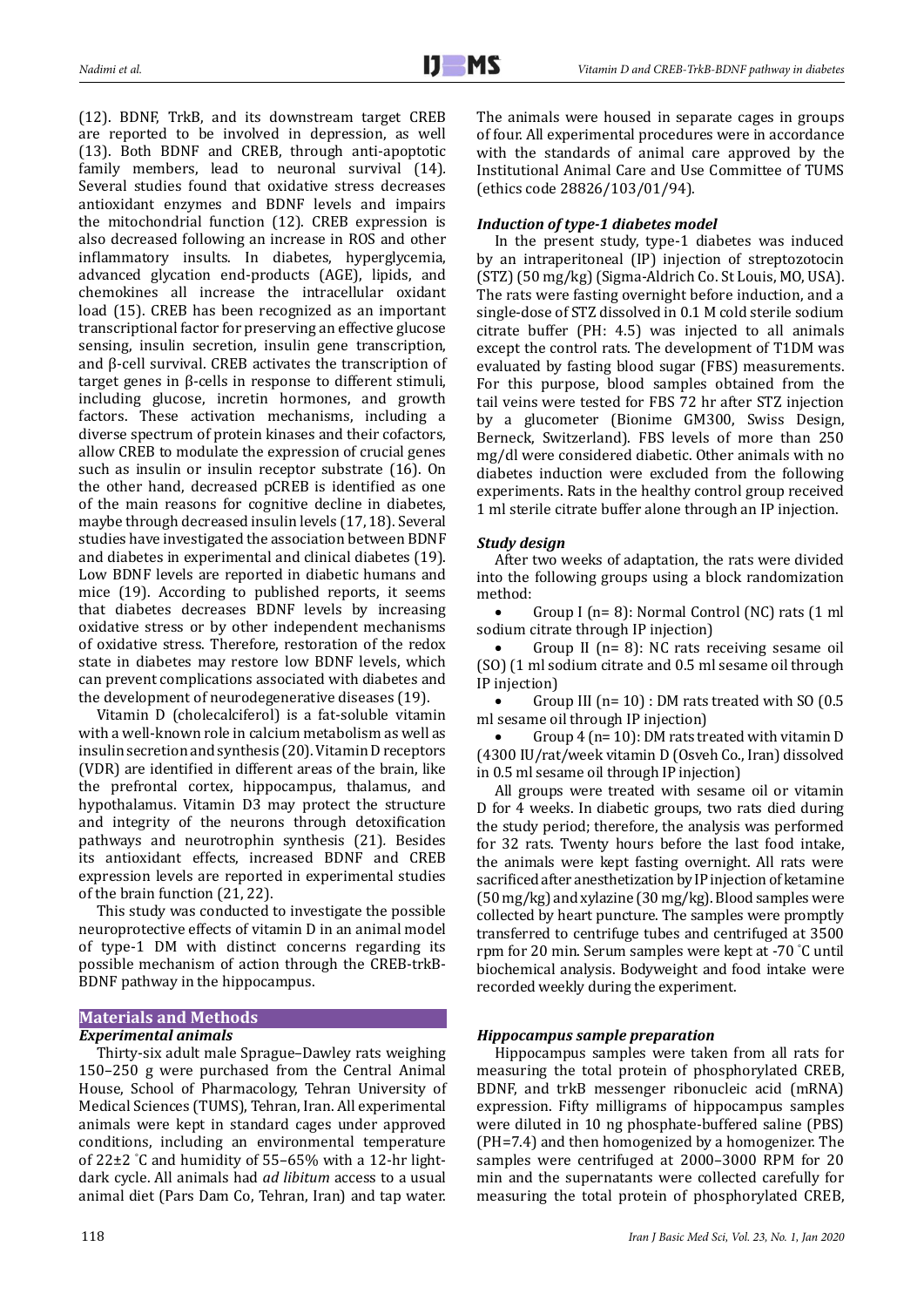(12). BDNF, TrkB, and its downstream target CREB are reported to be involved in depression, as well (13). Both BDNF and CREB, through anti-apoptotic family members, lead to neuronal survival (14)*.* Several studies found that oxidative stress decreases antioxidant enzymes and BDNF levels and impairs the mitochondrial function (12). CREB expression is also decreased following an increase in ROS and other inflammatory insults. In diabetes, hyperglycemia, advanced glycation end-products (AGE), lipids, and chemokines all increase the intracellular oxidant load (15). CREB has been recognized as an important transcriptional factor for preserving an effective glucose sensing, insulin secretion, insulin gene transcription, and β-cell survival. CREB activates the transcription of target genes in β-cells in response to different stimuli, including glucose, incretin hormones, and growth factors. These activation mechanisms, including a diverse spectrum of protein kinases and their cofactors, allow CREB to modulate the expression of crucial genes such as insulin or insulin receptor substrate (16). On the other hand, decreased pCREB is identified as one of the main reasons for cognitive decline in diabetes, maybe through decreased insulin levels (17, 18). Several studies have investigated the association between BDNF and diabetes in experimental and clinical diabetes (19). Low BDNF levels are reported in diabetic humans and mice (19). According to published reports, it seems that diabetes decreases BDNF levels by increasing oxidative stress or by other independent mechanisms of oxidative stress. Therefore, restoration of the redox state in diabetes may restore low BDNF levels, which can prevent complications associated with diabetes and the development of neurodegenerative diseases (19).

Vitamin D (cholecalciferol) is a fat-soluble vitamin with a well-known role in calcium metabolism as well as insulin secretion and synthesis (20). Vitamin D receptors (VDR) are identified in different areas of the brain, like the prefrontal cortex, hippocampus, thalamus, and hypothalamus. Vitamin D3 may protect the structure and integrity of the neurons through detoxification pathways and neurotrophin synthesis (21)*.* Besides its antioxidant effects, increased BDNF and CREB expression levels are reported in experimental studies of the brain function (21, 22).

This study was conducted to investigate the possible neuroprotective effects of vitamin D in an animal model of type-1 DM with distinct concerns regarding its possible mechanism of action through the CREB-trkB-BDNF pathway in the hippocampus.

# **Materials and Methods**

#### *Experimental animals*

Thirty-six adult male Sprague–Dawley rats weighing 150–250 g were purchased from the Central Animal House, School of Pharmacology, Tehran University of Medical Sciences (TUMS), Tehran, Iran. All experimental animals were kept in standard cages under approved conditions, including an environmental temperature of 22±2 ° C and humidity of 55–65% with a 12-hr lightdark cycle. All animals had *ad libitum* access to a usual animal diet (Pars Dam Co, Tehran, Iran) and tap water.

The animals were housed in separate cages in groups of four. All experimental procedures were in accordance with the standards of animal care approved by the Institutional Animal Care and Use Committee of TUMS (ethics code 28826/103/01/94).

### *Induction of type-1 diabetes model*

In the present study, type-1 diabetes was induced by an intraperitoneal (IP) injection of streptozotocin (STZ) (50 mg/kg) (Sigma-Aldrich Co. St Louis, MO, USA). The rats were fasting overnight before induction, and a single-dose of STZ dissolved in 0.1 M cold sterile sodium citrate buffer (PH: 4.5) was injected to all animals except the control rats. The development of T1DM was evaluated by fasting blood sugar (FBS) measurements. For this purpose, blood samples obtained from the tail veins were tested for FBS 72 hr after STZ injection by a glucometer (Bionime GM300, Swiss Design, Berneck, Switzerland). FBS levels of more than 250 mg/dl were considered diabetic. Other animals with no diabetes induction were excluded from the following experiments. Rats in the healthy control group received 1 ml sterile citrate buffer alone through an IP injection.

#### *Study design*

After two weeks of adaptation, the rats were divided into the following groups using a block randomization method:

• Group I (n= 8): Normal Control (NC) rats (1 ml sodium citrate through IP injection)

Group II ( $n= 8$ ): NC rats receiving sesame oil (SO) (1 ml sodium citrate and 0.5 ml sesame oil through IP injection)

Group III ( $n=10$ ) : DM rats treated with SO (0.5) ml sesame oil through IP injection)

Group  $4$  (n= 10): DM rats treated with vitamin D (4300 IU/rat/week vitamin D (Osveh Co., Iran) dissolved in 0.5 ml sesame oil through IP injection)

All groups were treated with sesame oil or vitamin D for 4 weeks. In diabetic groups, two rats died during the study period; therefore, the analysis was performed for 32 rats. Twenty hours before the last food intake, the animals were kept fasting overnight. All rats were sacrificed after anesthetization by IP injection of ketamine (50 mg/kg) and xylazine (30 mg/kg). Blood samples were collected by heart puncture. The samples were promptly transferred to centrifuge tubes and centrifuged at 3500 rpm for 20 min. Serum samples were kept at -70 ° C until biochemical analysis. Bodyweight and food intake were recorded weekly during the experiment.

#### *Hippocampus sample preparation*

Hippocampus samples were taken from all rats for measuring the total protein of phosphorylated CREB, BDNF, and trkB messenger ribonucleic acid (mRNA) expression. Fifty milligrams of hippocampus samples were diluted in 10 ng phosphate-buffered saline (PBS) (PH=7.4) and then homogenized by a homogenizer. The samples were centrifuged at 2000–3000 RPM for 20 min and the supernatants were collected carefully for measuring the total protein of phosphorylated CREB,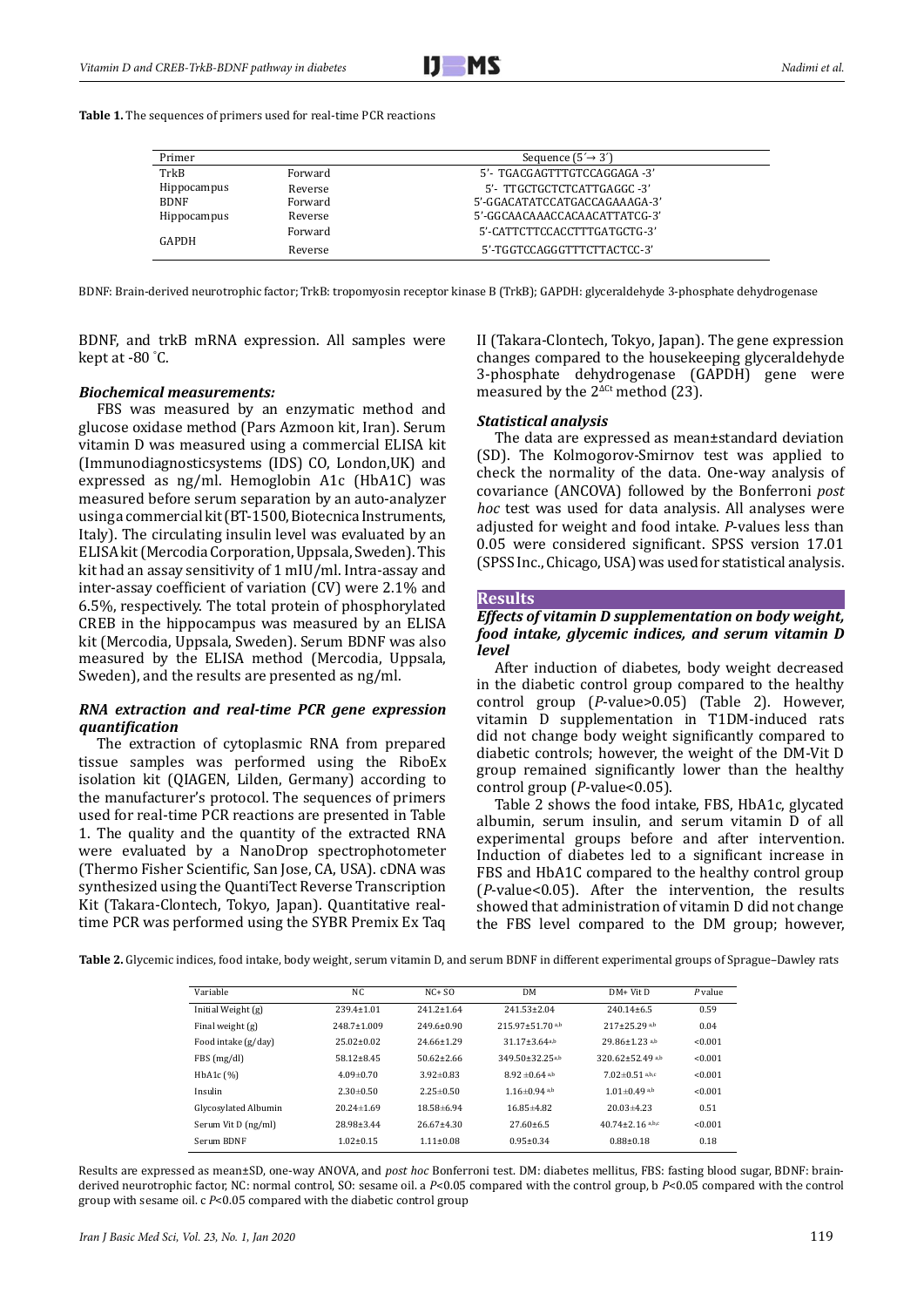

**Table 1.** The sequences of primers used for real-time PCR reactions

| Primer      |         | Sequence $(5' \rightarrow 3')$ |  |  |
|-------------|---------|--------------------------------|--|--|
| TrkB        | Forward | 5'- TGACGAGTTTGTCCAGGAGA -3'   |  |  |
| Hippocampus | Reverse | 5'- TTGCTGCTCTCATTGAGGC -3'    |  |  |
| <b>BDNF</b> | Forward | 5'-GGACATATCCATGACCAGAAAGA-3'  |  |  |
| Hippocampus | Reverse | 5'-GGCAACAAACCACAACATTATCG-3'  |  |  |
| GAPDH       | Forward | 5'-CATTCTTCCACCTTTGATGCTG-3'   |  |  |
|             | Reverse | 5'-TGGTCCAGGGTTTCTTACTCC-3'    |  |  |

BDNF: Brain-derived neurotrophic factor; TrkB: tropomyosin receptor kinase B (TrkB); GAPDH: glyceraldehyde 3-phosphate dehydrogenase

BDNF, and trkB mRNA expression. All samples were kept at -80 ° C.

#### *Biochemical measurements:*

FBS was measured by an enzymatic method and glucose oxidase method (Pars Azmoon kit, Iran). Serum vitamin D was measured using a commercial ELISA kit (Immunodiagnosticsystems (IDS) CO, London,UK) and expressed as ng/ml. Hemoglobin A1c (HbA1C) was measured before serum separation by an auto-analyzer using a commercial kit (BT-1500, Biotecnica Instruments, Italy). The circulating insulin level was evaluated by an ELISA kit (Mercodia Corporation, Uppsala, Sweden). This kit had an assay sensitivity of 1 mIU/ml. Intra-assay and inter-assay coefficient of variation (CV) were 2.1% and 6.5%, respectively. The total protein of phosphorylated CREB in the hippocampus was measured by an ELISA kit (Mercodia, Uppsala, Sweden). Serum BDNF was also measured by the ELISA method (Mercodia, Uppsala, Sweden), and the results are presented as ng/ml.

# *RNA extraction and real-time PCR gene expression quantification*

The extraction of cytoplasmic RNA from prepared tissue samples was performed using the RiboEx isolation kit (QIAGEN, Lilden, Germany) according to the manufacturer's protocol. The sequences of primers used for real-time PCR reactions are presented in Table 1. The quality and the quantity of the extracted RNA were evaluated by a NanoDrop spectrophotometer (Thermo Fisher Scientific, San Jose, CA, USA). cDNA was synthesized using the QuantiTect Reverse Transcription Kit (Takara-Clontech, Tokyo, Japan). Quantitative realtime PCR was performed using the SYBR Premix Ex Taq II (Takara-Clontech, Tokyo, Japan). The gene expression changes compared to the housekeeping glyceraldehyde 3-phosphate dehydrogenase (GAPDH) gene were measured by the  $2^{\Delta C t}$  method (23).

# *Statistical analysis*

The data are expressed as mean±standard deviation (SD). The Kolmogorov-Smirnov test was applied to check the normality of the data. One-way analysis of covariance (ANCOVA) followed by the Bonferroni *post hoc* test was used for data analysis. All analyses were adjusted for weight and food intake. *P*-values less than 0.05 were considered significant. SPSS version 17.01 (SPSS Inc., Chicago, USA) was used for statistical analysis.

#### **Results**

# *Effects of vitamin D supplementation on body weight, food intake, glycemic indices, and serum vitamin D level*

After induction of diabetes, body weight decreased in the diabetic control group compared to the healthy control group (*P*-value>0.05) (Table 2). However, vitamin D supplementation in T1DM-induced rats did not change body weight significantly compared to diabetic controls; however, the weight of the DM-Vit D group remained significantly lower than the healthy control group (*P*-value<0.05).

Table 2 shows the food intake, FBS, HbA1c, glycated albumin, serum insulin, and serum vitamin D of all experimental groups before and after intervention. Induction of diabetes led to a significant increase in FBS and HbA1C compared to the healthy control group (*P*-value<0.05). After the intervention, the results showed that administration of vitamin D did not change the FBS level compared to the DM group; however,

**Table 2.** Glycemic indices, food intake, body weight, serum vitamin D, and serum BDNF in different experimental groups of Sprague–Dawley rats

| Variable             | NC                | $NC + SO$        | <b>DM</b>                         | $DM+V$ it D                  | $P$ value |
|----------------------|-------------------|------------------|-----------------------------------|------------------------------|-----------|
| Initial Weight (g)   | $239.4 \pm 1.01$  | $241.2 \pm 1.64$ | $241.53 \pm 2.04$                 | $240.14 \pm 6.5$             | 0.59      |
| Final weight (g)     | $248.7 \pm 1.009$ | $249.6 \pm 0.90$ | $215.97 \pm 51.70$ <sup>a,b</sup> | $217 + 25.29$ <sup>a,b</sup> | 0.04      |
| Food intake (g/day)  | $25.02 \pm 0.02$  | $24.66 \pm 1.29$ | $31.17 \pm 3.64$ <sub>a,b</sub>   | $29.86 \pm 1.23$ a,b         | < 0.001   |
| FBS (mg/dl)          | $58.12 + 8.45$    | $50.62 \pm 2.66$ | $349.50 + 32.25$ a,b              | $320.62 \pm 52.49$ a,b       | < 0.001   |
| HbA1c (%)            | $4.09 \pm 0.70$   | $3.92 \pm 0.83$  | $8.92 \pm 0.64$ a,b               | $7.02 \pm 0.51$ a,b,c        | < 0.001   |
| Insulin              | $2.30 \pm 0.50$   | $2.25 \pm 0.50$  | $1.16 \pm 0.94$ a,b               | $1.01 \pm 0.49$ a,b          | < 0.001   |
| Glycosylated Albumin | $20.24 \pm 1.69$  | $18.58 \pm 6.94$ | $16.85\pm4.82$                    | $20.03\pm4.23$               | 0.51      |
| Serum Vit D (ng/ml)  | 28.98±3.44        | $26.67 \pm 4.30$ | $27.60\pm 6.5$                    | $40.74 \pm 2.16$ a,b,c       | < 0.001   |
| Serum BDNF           | $1.02 \pm 0.15$   | $1.11 \pm 0.08$  | $0.95 \pm 0.34$                   | $0.88 \pm 0.18$              | 0.18      |

Results are expressed as mean±SD, one-way ANOVA, and *post hoc* Bonferroni test. DM: diabetes mellitus, FBS: fasting blood sugar, BDNF: brainderived neurotrophic factor, NC: normal control, SO: sesame oil. a *P*<0.05 compared with the control group, b *P*<0.05 compared with the control group with sesame oil. c *P*<0.05 compared with the diabetic control group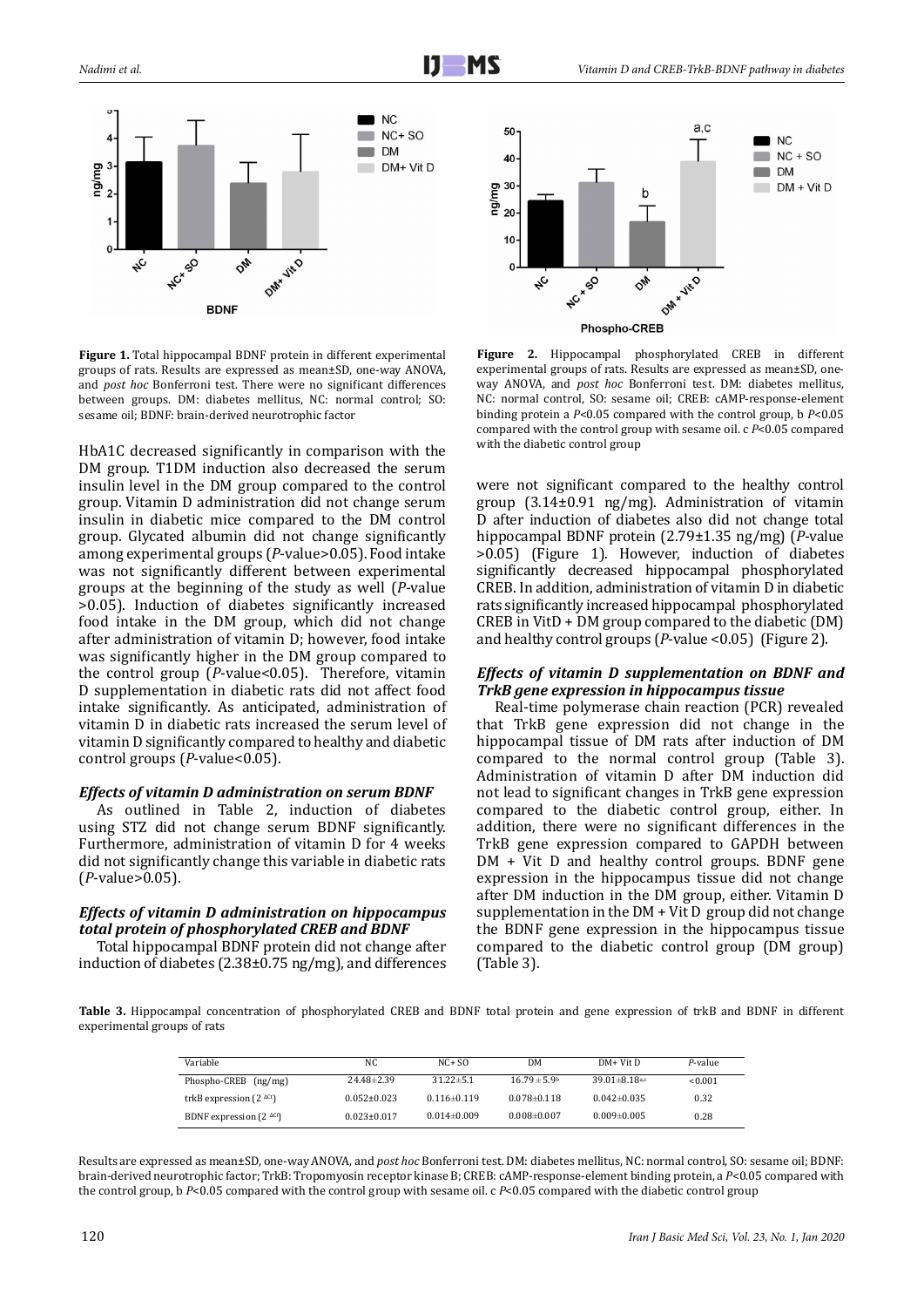



**Figure 1.** Total hippocampal BDNF protein in different experimental groups of rats. Results are expressed as mean±SD, one-way ANOVA, and *post hoc* Bonferroni test. There were no significant differences between groups. DM: diabetes mellitus, NC: normal control; SO: sesame oil; BDNF: brain-derived neurotrophic factor

HbA1C decreased significantly in comparison with the DM group. T1DM induction also decreased the serum insulin level in the DM group compared to the control group. Vitamin D administration did not change serum insulin in diabetic mice compared to the DM control group. Glycated albumin did not change significantly among experimental groups (*P*-value>0.05). Food intake was not significantly different between experimental groups at the beginning of the study as well (*P*-value >0.05). Induction of diabetes significantly increased food intake in the DM group, which did not change after administration of vitamin D; however, food intake was significantly higher in the DM group compared to the control group (*P*-value<0.05). Therefore, vitamin D supplementation in diabetic rats did not affect food intake significantly. As anticipated, administration of vitamin D in diabetic rats increased the serum level of vitamin D significantly compared to healthy and diabetic control groups (*P*-value<0.05).

# *Effects of vitamin D administration on serum BDNF*

As outlined in Table 2, induction of diabetes using STZ did not change serum BDNF significantly. Furthermore, administration of vitamin D for 4 weeks did not significantly change this variable in diabetic rats (*P*-value>0.05).

# *Effects of vitamin D administration on hippocampus total protein of phosphorylated CREB and BDNF*

Total hippocampal BDNF protein did not change after induction of diabetes (2.38±0.75 ng/mg), and differences

**Figure 2.** Hippocampal phosphorylated CREB in different experimental groups of rats. Results are expressed as mean±SD, oneway ANOVA, and *post hoc* Bonferroni test. DM: diabetes mellitus, NC: normal control, SO: sesame oil; CREB: cAMP-response-element binding protein a *P*<0.05 compared with the control group, b *P*<0.05 compared with the control group with sesame oil. c *P*<0.05 compared with the diabetic control group

were not significant compared to the healthy control group (3.14±0.91 ng/mg). Administration of vitamin D after induction of diabetes also did not change total hippocampal BDNF protein (2.79±1.35 ng/mg) (*P*-value >0.05) (Figure 1). However, induction of diabetes significantly decreased hippocampal phosphorylated CREB. In addition, administration of vitamin D in diabetic rats significantly increased hippocampal phosphorylated CREB in VitD + DM group compared to the diabetic (DM) and healthy control groups (*P*-value <0.05) (Figure 2).

#### *Effects of vitamin D supplementation on BDNF and TrkB gene expression in hippocampus tissue*

Real-time polymerase chain reaction (PCR) revealed that TrkB gene expression did not change in the hippocampal tissue of DM rats after induction of DM compared to the normal control group (Table 3). Administration of vitamin D after DM induction did not lead to significant changes in TrkB gene expression compared to the diabetic control group, either. In addition, there were no significant differences in the TrkB gene expression compared to GAPDH between DM + Vit D and healthy control groups. BDNF gene expression in the hippocampus tissue did not change after DM induction in the DM group, either. Vitamin D supplementation in the DM + Vit D group did not change the BDNF gene expression in the hippocampus tissue compared to the diabetic control group (DM group) (Table 3).

**Table 3.** Hippocampal concentration of phosphorylated CREB and BDNF total protein and gene expression of trkB and BDNF in different experimental groups of rats

| Variable                          | NC.               | $NC + SO$         | DM                      | DM+ Vit D                       | P-value |
|-----------------------------------|-------------------|-------------------|-------------------------|---------------------------------|---------|
| Phospho-CREB (ng/mg)              | $24.48\pm2.39$    | $31.22 \pm 5.1$   | $16.79 \pm 5.9^{\circ}$ | $39.01 \pm 8.18$ <sup>a,c</sup> | <0.001  |
| trkB expression $(2 \text{ Act})$ | $0.052 \pm 0.023$ | $0.116 \pm 0.119$ | $0.078 \pm 0.118$       | $0.042 \pm 0.035$               | 0.32    |
| BDNF expression $(2 \text{ Act})$ | $0.023 \pm 0.017$ | $0.014 \pm 0.009$ | $0.008 \pm 0.007$       | $0.009 \pm 0.005$               | 0.28    |

Results are expressed as mean±SD, one-way ANOVA, and *post hoc* Bonferroni test. DM: diabetes mellitus, NC: normal control, SO: sesame oil; BDNF: brain-derived neurotrophic factor; TrkB: Tropomyosin receptor kinase B; CREB: cAMP-response-element binding protein, a *P*<0.05 compared with the control group, b *P*<0.05 compared with the control group with sesame oil. c *P*<0.05 compared with the diabetic control group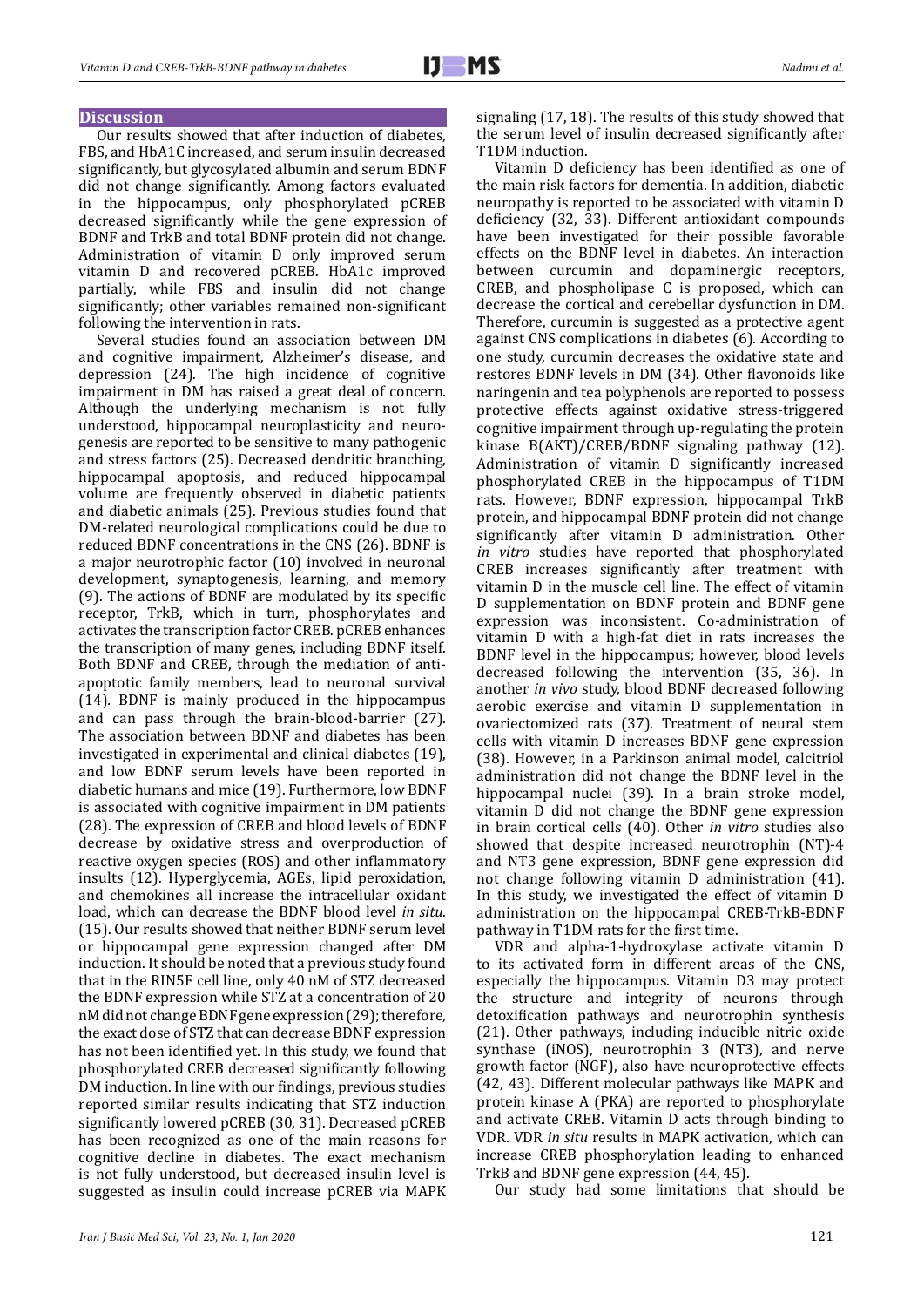# **Discussion**

Our results showed that after induction of diabetes, FBS, and HbA1C increased, and serum insulin decreased significantly, but glycosylated albumin and serum BDNF did not change significantly. Among factors evaluated in the hippocampus, only phosphorylated pCREB decreased significantly while the gene expression of BDNF and TrkB and total BDNF protein did not change. Administration of vitamin D only improved serum vitamin D and recovered pCREB. HbA1c improved partially, while FBS and insulin did not change significantly; other variables remained non-significant following the intervention in rats.

Several studies found an association between DM and cognitive impairment, Alzheimer's disease, and depression (24). The high incidence of cognitive impairment in DM has raised a great deal of concern. Although the underlying mechanism is not fully understood, hippocampal neuroplasticity and neurogenesis are reported to be sensitive to many pathogenic and stress factors (25). Decreased dendritic branching, hippocampal apoptosis, and reduced hippocampal volume are frequently observed in diabetic patients and diabetic animals (25). Previous studies found that DM-related neurological complications could be due to reduced BDNF concentrations in the CNS (26). BDNF is a major neurotrophic factor (10) involved in neuronal development, synaptogenesis, learning, and memory (9). The actions of BDNF are modulated by its specific receptor, TrkB, which in turn, phosphorylates and activates the transcription factor CREB. pCREB enhances the transcription of many genes, including BDNF itself. Both BDNF and CREB, through the mediation of antiapoptotic family members, lead to neuronal survival (14)*.* BDNF is mainly produced in the hippocampus and can pass through the brain-blood-barrier (27). The association between BDNF and diabetes has been investigated in experimental and clinical diabetes (19), and low BDNF serum levels have been reported in diabetic humans and mice (19). Furthermore, low BDNF is associated with cognitive impairment in DM patients (28). The expression of CREB and blood levels of BDNF decrease by oxidative stress and overproduction of reactive oxygen species (ROS) and other inflammatory insults (12). Hyperglycemia, AGEs, lipid peroxidation, and chemokines all increase the intracellular oxidant load, which can decrease the BDNF blood level *in situ*. (15). Our results showed that neither BDNF serum level or hippocampal gene expression changed after DM induction. It should be noted that a previous study found that in the RIN5F cell line, only 40 nM of STZ decreased the BDNF expression while STZ at a concentration of 20 nM did not change BDNF gene expression (29); therefore, the exact dose of STZ that can decrease BDNF expression has not been identified yet. In this study, we found that phosphorylated CREB decreased significantly following DM induction. In line with our findings, previous studies reported similar results indicating that STZ induction significantly lowered pCREB (30, 31). Decreased pCREB has been recognized as one of the main reasons for cognitive decline in diabetes. The exact mechanism is not fully understood, but decreased insulin level is suggested as insulin could increase pCREB via MAPK

signaling (17, 18). The results of this study showed that the serum level of insulin decreased significantly after T1DM induction.

Vitamin D deficiency has been identified as one of the main risk factors for dementia. In addition, diabetic neuropathy is reported to be associated with vitamin D deficiency (32, 33). Different antioxidant compounds have been investigated for their possible favorable effects on the BDNF level in diabetes. An interaction between curcumin and dopaminergic receptors, CREB, and phospholipase C is proposed, which can decrease the cortical and cerebellar dysfunction in DM. Therefore, curcumin is suggested as a protective agent against CNS complications in diabetes (6). According to one study, curcumin decreases the oxidative state and restores BDNF levels in DM (34). Other flavonoids like naringenin and tea polyphenols are reported to possess protective effects against oxidative stress-triggered cognitive impairment through up-regulating the protein kinase B(AKT)/CREB/BDNF signaling pathway (12). Administration of vitamin D significantly increased phosphorylated CREB in the hippocampus of T1DM rats. However, BDNF expression, hippocampal TrkB protein, and hippocampal BDNF protein did not change significantly after vitamin D administration. Other *in vitro* studies have reported that phosphorylated CREB increases significantly after treatment with vitamin D in the muscle cell line. The effect of vitamin D supplementation on BDNF protein and BDNF gene expression was inconsistent. Co-administration of vitamin D with a high-fat diet in rats increases the BDNF level in the hippocampus; however, blood levels decreased following the intervention (35, 36). In another *in vivo* study, blood BDNF decreased following aerobic exercise and vitamin D supplementation in ovariectomized rats (37). Treatment of neural stem cells with vitamin D increases BDNF gene expression (38). However, in a Parkinson animal model, calcitriol administration did not change the BDNF level in the hippocampal nuclei (39). In a brain stroke model, vitamin D did not change the BDNF gene expression in brain cortical cells (40). Other *in vitro* studies also showed that despite increased neurotrophin (NT)-4 and NT3 gene expression, BDNF gene expression did not change following vitamin D administration (41). In this study, we investigated the effect of vitamin D administration on the hippocampal CREB-TrkB-BDNF pathway in T1DM rats for the first time.

VDR and alpha-1-hydroxylase activate vitamin D to its activated form in different areas of the CNS, especially the hippocampus. Vitamin D3 may protect the structure and integrity of neurons through detoxification pathways and neurotrophin synthesis (21). Other pathways, including inducible nitric oxide synthase (iNOS), neurotrophin 3 (NT3), and nerve growth factor (NGF), also have neuroprotective effects (42, 43). Different molecular pathways like MAPK and protein kinase A (PKA) are reported to phosphorylate and activate CREB. Vitamin D acts through binding to VDR. VDR *in situ* results in MAPK activation, which can increase CREB phosphorylation leading to enhanced TrkB and BDNF gene expression (44, 45).

Our study had some limitations that should be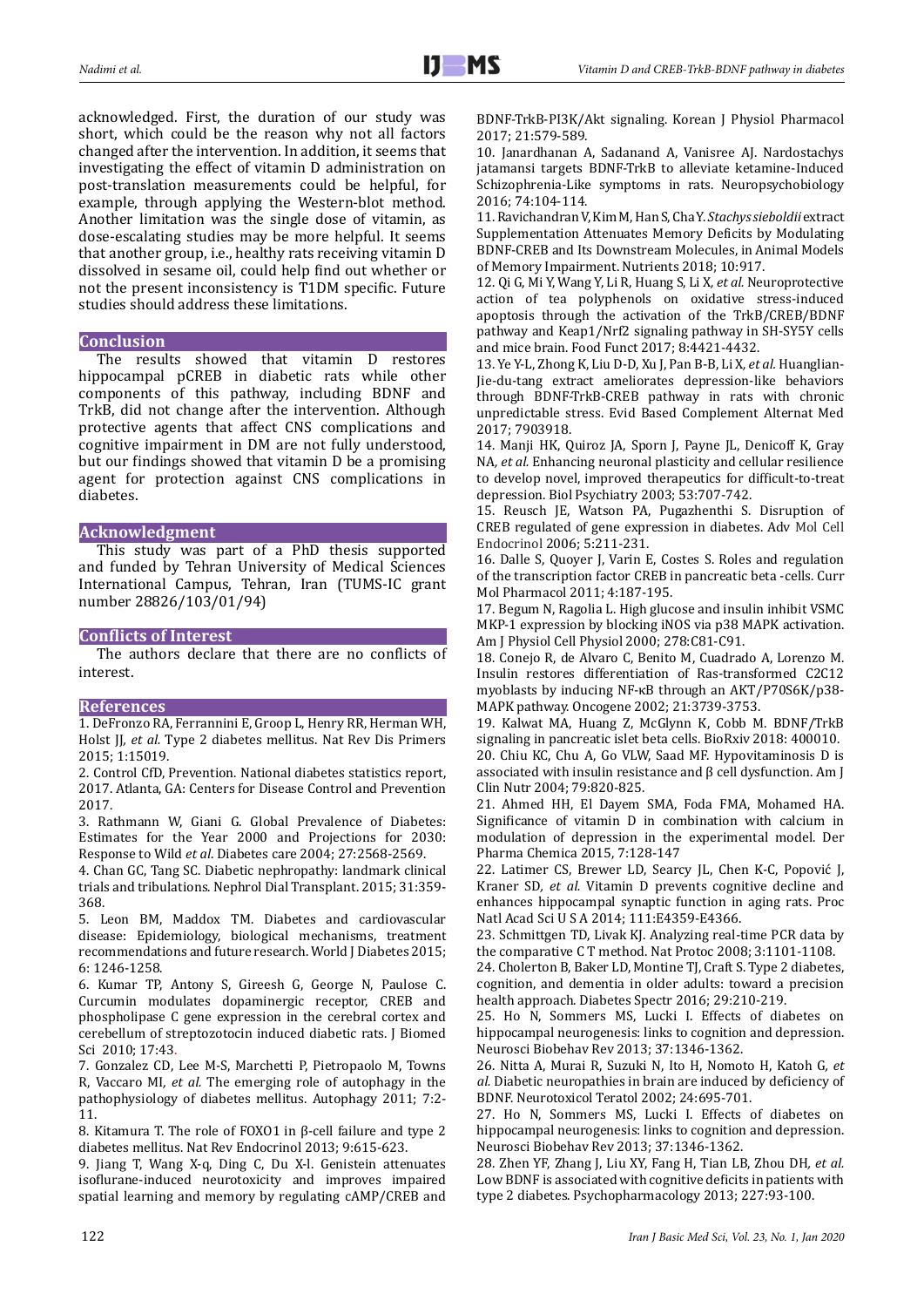acknowledged. First, the duration of our study was short, which could be the reason why not all factors changed after the intervention. In addition, it seems that investigating the effect of vitamin D administration on post-translation measurements could be helpful, for example, through applying the Western-blot method. Another limitation was the single dose of vitamin, as dose-escalating studies may be more helpful. It seems that another group, i.e., healthy rats receiving vitamin D dissolved in sesame oil, could help find out whether or not the present inconsistency is T1DM specific. Future studies should address these limitations.

# **Conclusion**

The results showed that vitamin D restores hippocampal pCREB in diabetic rats while other components of this pathway, including BDNF and TrkB, did not change after the intervention. Although protective agents that affect CNS complications and cognitive impairment in DM are not fully understood, but our findings showed that vitamin D be a promising agent for protection against CNS complications in diabetes.

# **Acknowledgment**

This study was part of a PhD thesis supported and funded by Tehran University of Medical Sciences International Campus, Tehran, Iran (TUMS-IC grant number 28826/103/01/94)

# **Conflicts of Interest**

The authors declare that there are no conflicts of interest.

#### **References**

1. DeFronzo RA, Ferrannini E, Groop L, Henry RR, Herman WH, Holst JJ, et al. Type 2 diabetes mellitus. Nat Rev Dis Primers 2015; 1:15019.

2. Control CfD, Prevention. National diabetes statistics report, 2017. Atlanta, GA: Centers for Disease Control and Prevention 2017.

3. Rathmann W, Giani G. Global Prevalence of Diabetes: Estimates for the Year 2000 and Projections for 2030: Response to Wild *et al*. Diabetes care 2004; 27:2568-2569.

4. Chan GC, Tang SC. Diabetic nephropathy: landmark clinical trials and tribulations. Nephrol Dial Transplant. 2015; 31:359- 368.

5. Leon BM, Maddox TM. Diabetes and cardiovascular disease: Epidemiology, biological mechanisms, treatment recommendations and future research. World J Diabetes 2015; 6: 1246-1258.

6. Kumar TP, Antony S, Gireesh G, George N, Paulose C. Curcumin modulates dopaminergic receptor, CREB and phospholipase C gene expression in the cerebral cortex and cerebellum of streptozotocin induced diabetic rats. J Biomed Sci 2010; 17:43.

7. Gonzalez CD, Lee M-S, Marchetti P, Pietropaolo M, Towns R, Vaccaro MI*, et al.* The emerging role of autophagy in the pathophysiology of diabetes mellitus. Autophagy 2011; 7:2- 11.

8. Kitamura T. The role of FOXO1 in β-cell failure and type 2 diabetes mellitus. Nat Rev Endocrinol 2013; 9:615-623.

9. Jiang T, Wang X-q, Ding C, Du X-l. Genistein attenuates isoflurane-induced neurotoxicity and improves impaired spatial learning and memory by regulating cAMP/CREB and BDNF-TrkB-PI3K/Akt signaling. Korean J Physiol Pharmacol 2017; 21:579-589.

10. Janardhanan A, Sadanand A, Vanisree AJ. Nardostachys jatamansi targets BDNF-TrkB to alleviate ketamine-Induced Schizophrenia-Like symptoms in rats. Neuropsychobiology 2016; 74:104-114.

11. Ravichandran V, Kim M, Han S, Cha Y. *Stachys sieboldii* extract Supplementation Attenuates Memory Deficits by Modulating BDNF-CREB and Its Downstream Molecules, in Animal Models of Memory Impairment. Nutrients 2018; 10:917.

12. Qi G, Mi Y, Wang Y, Li R, Huang S, Li X*, et al.* Neuroprotective action of tea polyphenols on oxidative stress-induced apoptosis through the activation of the TrkB/CREB/BDNF pathway and Keap1/Nrf2 signaling pathway in SH-SY5Y cells and mice brain. Food Funct 2017; 8:4421-4432.

13. Ye Y-L, Zhong K, Liu D-D, Xu J, Pan B-B, Li X*, et al.* Huanglian-Jie-du-tang extract ameliorates depression-like behaviors through BDNF-TrkB-CREB pathway in rats with chronic unpredictable stress. Evid Based Complement Alternat Med 2017; 7903918.

14. Manji HK, Quiroz JA, Sporn J, Payne JL, Denicoff K, Gray NA*, et al.* Enhancing neuronal plasticity and cellular resilience to develop novel, improved therapeutics for difficult-to-treat depression. Biol Psychiatry 2003; 53:707-742.

15. Reusch JE, Watson PA, Pugazhenthi S. Disruption of CREB regulated of gene expression in diabetes. Adv Mol Cell Endocrinol 2006; 5:211-231.

16. Dalle S, Quoyer J, Varin E, Costes S. Roles and regulation of the transcription factor CREB in pancreatic beta -cells. Curr Mol Pharmacol 2011; 4:187-195.

17. Begum N, Ragolia L. High glucose and insulin inhibit VSMC MKP-1 expression by blocking iNOS via p38 MAPK activation. Am J Physiol Cell Physiol 2000; 278:C81-C91.

18. Conejo R, de Alvaro C, Benito M, Cuadrado A, Lorenzo M. Insulin restores differentiation of Ras-transformed C2C12 myoblasts by inducing NF-κB through an AKT/P70S6K/p38- MAPK pathway. Oncogene 2002; 21:3739-3753.

19. Kalwat MA, Huang Z, McGlynn K, Cobb M. BDNF/TrkB signaling in pancreatic islet beta cells. BioRxiv 2018: 400010. 20. Chiu KC, Chu A, Go VLW, Saad MF. Hypovitaminosis D is associated with insulin resistance and β cell dysfunction. Am J Clin Nutr 2004; 79:820-825.

21. Ahmed HH, El Dayem SMA, Foda FMA, Mohamed HA. Significance of vitamin D in combination with calcium in modulation of depression in the experimental model. Der Pharma Chemica 2015, 7:128-147

22. Latimer CS, Brewer LD, Searcy JL, Chen K-C, Popović J, Kraner SD*, et al.* Vitamin D prevents cognitive decline and enhances hippocampal synaptic function in aging rats. Proc Natl Acad Sci U S A 2014; 111:E4359-E4366.

23. Schmittgen TD, Livak KJ. Analyzing real-time PCR data by the comparative C T method. Nat Protoc 2008; 3:1101-1108.

24. Cholerton B. Baker LD. Montine TI. Craft S. Type 2 diabetes, cognition, and dementia in older adults: toward a precision health approach. Diabetes Spectr 2016; 29:210-219.

25. Ho N, Sommers MS, Lucki I. Effects of diabetes on hippocampal neurogenesis: links to cognition and depression. Neurosci Biobehav Rev 2013; 37:1346-1362.

26. Nitta A, Murai R, Suzuki N, Ito H, Nomoto H, Katoh G*, et al.* Diabetic neuropathies in brain are induced by deficiency of BDNF. Neurotoxicol Teratol 2002; 24:695-701.

27. Ho N, Sommers MS, Lucki I. Effects of diabetes on hippocampal neurogenesis: links to cognition and depression. Neurosci Biobehav Rev 2013; 37:1346-1362.

28. Zhen YF, Zhang J, Liu XY, Fang H, Tian LB, Zhou DH*, et al.* Low BDNF is associated with cognitive deficits in patients with type 2 diabetes. Psychopharmacology 2013; 227:93-100.